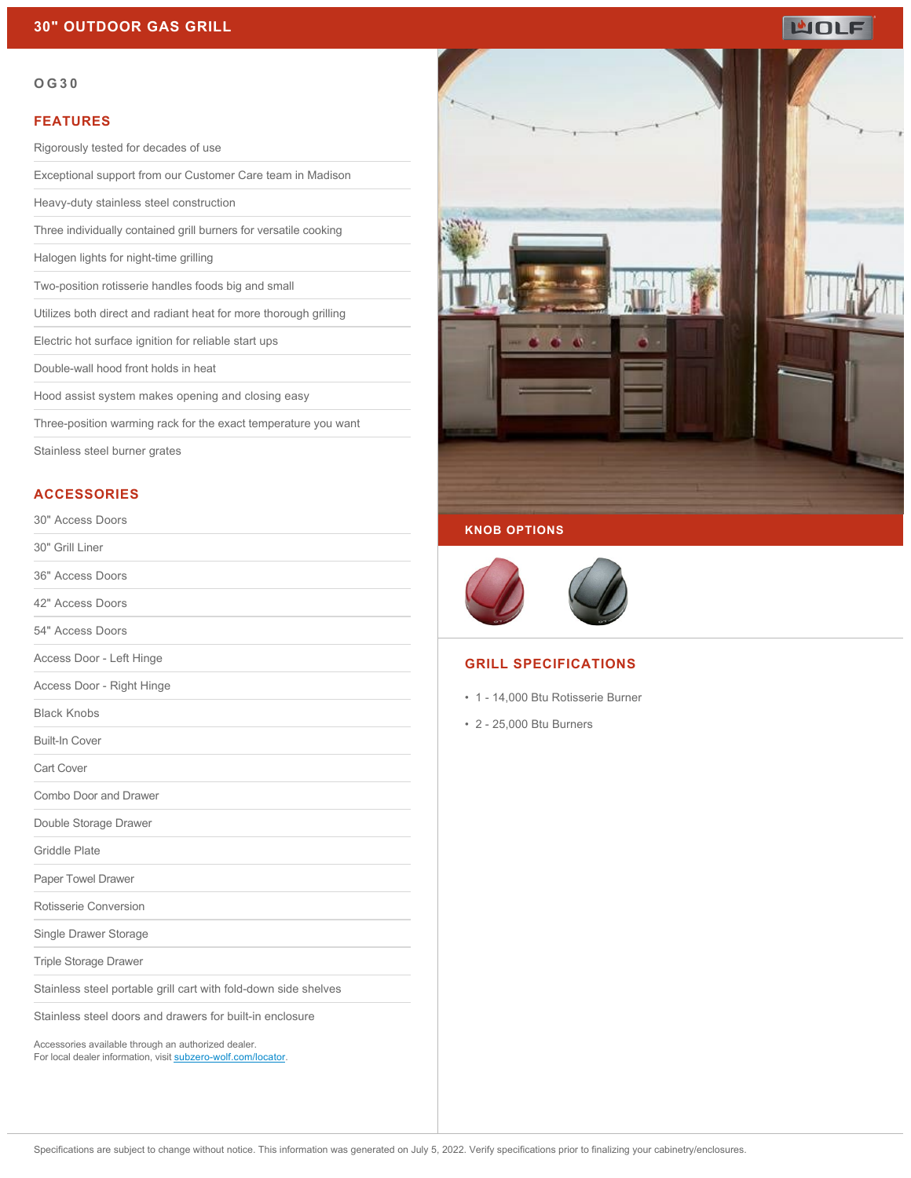# WOLF

#### **OG30**

### **FEATURES**

Rigorously tested for decades of use

Exceptional support from our Customer Care team in Madison

Heavy-duty stainless steel construction

Three individually contained grill burners for versatile cooking

Halogen lights for night-time grilling

Two-position rotisserie handles foods big and small

Utilizes both direct and radiant heat for more thorough grilling

Electric hot surface ignition for reliable start ups

Double-wall hood front holds in heat

Hood assist system makes opening and closing easy

Three-position warming rack for the exact temperature you want

Stainless steel burner grates

## **ACCESSORIES**

#### 30" Access Doors

30" Grill Liner

36" Access Doors

42" Access Doors

54" Access Doors

Access Door - Left Hinge

Access Door - Right Hinge

Black Knobs

Built-In Cover

Cart Cover

Combo Door and Drawer

Double Storage Drawer

Griddle Plate

Paper Towel Drawer

Rotisserie Conversion

Single Drawer Storage

Triple Storage Drawer

Stainless steel portable grill cart with fold-down side shelves

Stainless steel doors and drawers for built-in enclosure

Accessories available through an authorized dealer. For local dealer information, visit [subzero-wolf.com/locator.](http://www.subzero-wolf.com/locator)



## **KNOB OPTIONS**



# **GRILL SPECIFICATIONS**

- 1 14,000 Btu Rotisserie Burner
- 2 25,000 Btu Burners